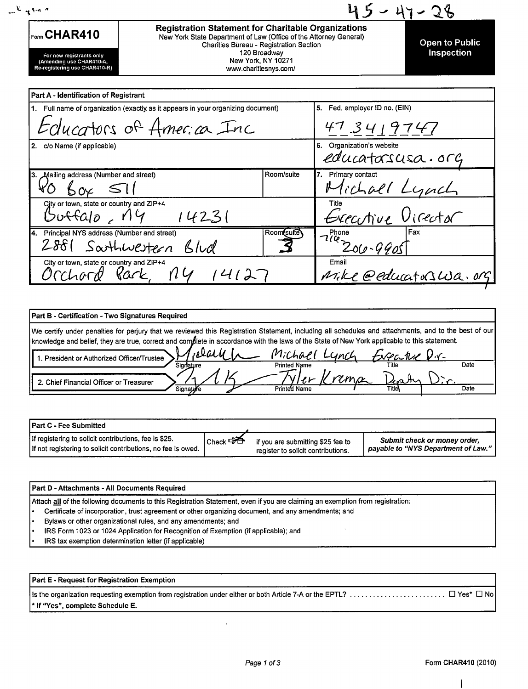| $\mathcal{L} = \mathcal{L} \times \mathcal{L}$                                        |                                                                                                                                                                            |                                                             |                                    |                       |
|---------------------------------------------------------------------------------------|----------------------------------------------------------------------------------------------------------------------------------------------------------------------------|-------------------------------------------------------------|------------------------------------|-----------------------|
| Form CHAR410                                                                          | <b>Registration Statement for Charitable Organizations</b><br>New York State Department of Law (Office of the Attorney General)<br>Charities Bureau - Registration Section |                                                             |                                    | <b>Open to Public</b> |
| For new registrants only<br>(Amending use CHAR410-A,<br>Re-registering use CHAR410-R) |                                                                                                                                                                            | 120 Broadway<br>New York, NY 10271<br>www.charitiesnys.com/ |                                    | Inspection            |
| Part A - Identification of Registrant                                                 |                                                                                                                                                                            |                                                             |                                    |                       |
| 1. Full name of organization (exactly as it appears in your organizing document)      |                                                                                                                                                                            | Fed. employer ID no. (EIN)<br>5.                            |                                    |                       |
|                                                                                       | Educators of America Inc                                                                                                                                                   |                                                             | 473419747                          |                       |
| 2. c/o Name (if applicable)                                                           |                                                                                                                                                                            |                                                             | Organization's website<br>6.       | educatorsusa.org      |
| Mailing address (Number and street)<br>3.                                             |                                                                                                                                                                            | Room/suite                                                  | 7. Primary contact<br>$'c$ chall   |                       |
| City or town, state or country and ZIP+4<br>ufta10, 114                               | 14231                                                                                                                                                                      |                                                             | Title                              | Executive Virector    |
| Principal NYS address (Number and street)<br>14.<br>2881                              | Southwestern Blud                                                                                                                                                          | Room(sulte)                                                 | Phone<br>1 <sup>714</sup> 206-9905 | Fax                   |
| City or town, state or country and ZIP+4<br>'CChord                                   | Kark<br>114                                                                                                                                                                |                                                             | Email                              | Mike @educatorswa.org |

| Part B - Certification - Two Signatures Required                                                                                                                                                                                                                                                     |                                      |                         |      |
|------------------------------------------------------------------------------------------------------------------------------------------------------------------------------------------------------------------------------------------------------------------------------------------------------|--------------------------------------|-------------------------|------|
| We certify under penalties for perjury that we reviewed this Registration Statement, including all schedules and attachments, and to the best of our<br>knowledge and belief, they are true, correct and complete in accordance with the laws of the State of New York applicable to this statement. |                                      |                         |      |
| $\Omega$ alit<br>1. President or Authorized Officer/Trustee<br>Signature                                                                                                                                                                                                                             | Michael Lynch<br><b>Printed Name</b> | Expartise D.r.<br>Title | Date |
| 2. Chief Financial Officer or Treasurer                                                                                                                                                                                                                                                              |                                      |                         |      |
| Signat <b>⊌r</b> e                                                                                                                                                                                                                                                                                   | Printed Name                         | Titley                  | Date |

| <b>I Part C - Fee Submitted</b>                              |            |                                    |                                     |
|--------------------------------------------------------------|------------|------------------------------------|-------------------------------------|
| If registering to solicit contributions, fee is \$25.        | Check ⊏∂ D | if you are submitting \$25 fee to  | Submit check or money order,        |
| If not registering to solicit contributions, no fee is owed. |            | register to solicit contributions. | payable to "NYS Department of Law." |

| <b>Part D - Attachments - All Documents Required</b>                                                                           |
|--------------------------------------------------------------------------------------------------------------------------------|
| Attach all of the following documents to this Registration Statement, even if you are claiming an exemption from registration: |
| Certificate of incorporation, trust agreement or other organizing document, and any amendments; and                            |

- Bylaws or other organizational rules, and any amendments; and
- IRS Form 1023 or 1024 Application for Recognition of Exemption (if applicable); and
- IRS tax exemption determination letter (if applicable)

Part E - Request for Registration Exemption

| * If "Yes", complete Schedule E. |  |
|----------------------------------|--|

 $\epsilon$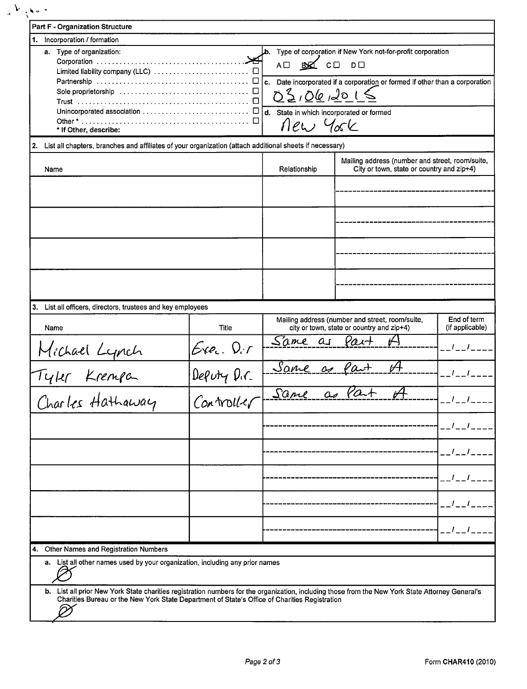| 1. Incorporation / formation                                                                               |                          |                                          |                                                                             |                                       |
|------------------------------------------------------------------------------------------------------------|--------------------------|------------------------------------------|-----------------------------------------------------------------------------|---------------------------------------|
| a. Type of organization:                                                                                   |                          |                                          | Type of corporation if New York not-for-profit corporation                  |                                       |
|                                                                                                            |                          | AO BO CO                                 | $D \Box$                                                                    |                                       |
|                                                                                                            |                          |                                          |                                                                             |                                       |
|                                                                                                            |                          |                                          | c. Date incorporated if a corporation or formed if other than a corporation |                                       |
|                                                                                                            |                          | 02,06,2015                               |                                                                             |                                       |
|                                                                                                            |                          | d. State in which incorporated or formed |                                                                             |                                       |
|                                                                                                            |                          | new York                                 |                                                                             |                                       |
| * If Other, describe:                                                                                      |                          |                                          |                                                                             |                                       |
| 2. List all chapters, branches and affiliates of your organization (attach additional sheets if necessary) |                          |                                          |                                                                             |                                       |
|                                                                                                            |                          |                                          | Mailing address (number and street, room/suite,                             |                                       |
| Name                                                                                                       |                          | Relationship                             | City or town, state or country and zip+4)                                   |                                       |
|                                                                                                            |                          |                                          |                                                                             |                                       |
|                                                                                                            |                          |                                          |                                                                             |                                       |
|                                                                                                            |                          |                                          |                                                                             |                                       |
|                                                                                                            |                          |                                          |                                                                             |                                       |
|                                                                                                            |                          |                                          |                                                                             |                                       |
|                                                                                                            |                          |                                          |                                                                             |                                       |
|                                                                                                            |                          |                                          |                                                                             |                                       |
|                                                                                                            |                          |                                          |                                                                             |                                       |
|                                                                                                            |                          |                                          |                                                                             |                                       |
| 3. List all officers, directors, trustees and key employees                                                |                          |                                          |                                                                             |                                       |
|                                                                                                            |                          |                                          | Mailing address (number and street, room/suite,                             | End of term                           |
| Name                                                                                                       | Title                    |                                          | city or town, state or country and zip+4)                                   | (if applicable)                       |
|                                                                                                            |                          | Same as                                  |                                                                             |                                       |
|                                                                                                            |                          |                                          |                                                                             |                                       |
| Michael Lynch<br>Tyler Krempa                                                                              | Exec. D.r<br>Deputy D.r. | Same as fait                             |                                                                             |                                       |
|                                                                                                            |                          |                                          |                                                                             |                                       |
|                                                                                                            | $Con$ troller            |                                          | Same as Part of                                                             |                                       |
|                                                                                                            |                          |                                          |                                                                             |                                       |
| Charles Hathaway                                                                                           |                          |                                          |                                                                             |                                       |
|                                                                                                            |                          |                                          |                                                                             |                                       |
|                                                                                                            |                          |                                          |                                                                             | $\mathbf{I}$ $\mathbf{I}$<br>$-1 - 1$ |
|                                                                                                            |                          |                                          |                                                                             |                                       |
|                                                                                                            |                          |                                          |                                                                             | $1 - I = -I$                          |
|                                                                                                            |                          |                                          |                                                                             |                                       |
|                                                                                                            |                          |                                          |                                                                             | __/__/____                            |
|                                                                                                            |                          |                                          |                                                                             |                                       |
|                                                                                                            |                          |                                          |                                                                             | $I_{-}I_{-}$                          |
|                                                                                                            |                          |                                          |                                                                             |                                       |
|                                                                                                            |                          |                                          |                                                                             | _ _ / _ _ / _ _ _ .                   |
| 4. Other Names and Registration Numbers                                                                    |                          |                                          |                                                                             |                                       |
| a. List all other names used by your organization, including any prior names                               |                          |                                          |                                                                             |                                       |
|                                                                                                            |                          |                                          |                                                                             |                                       |